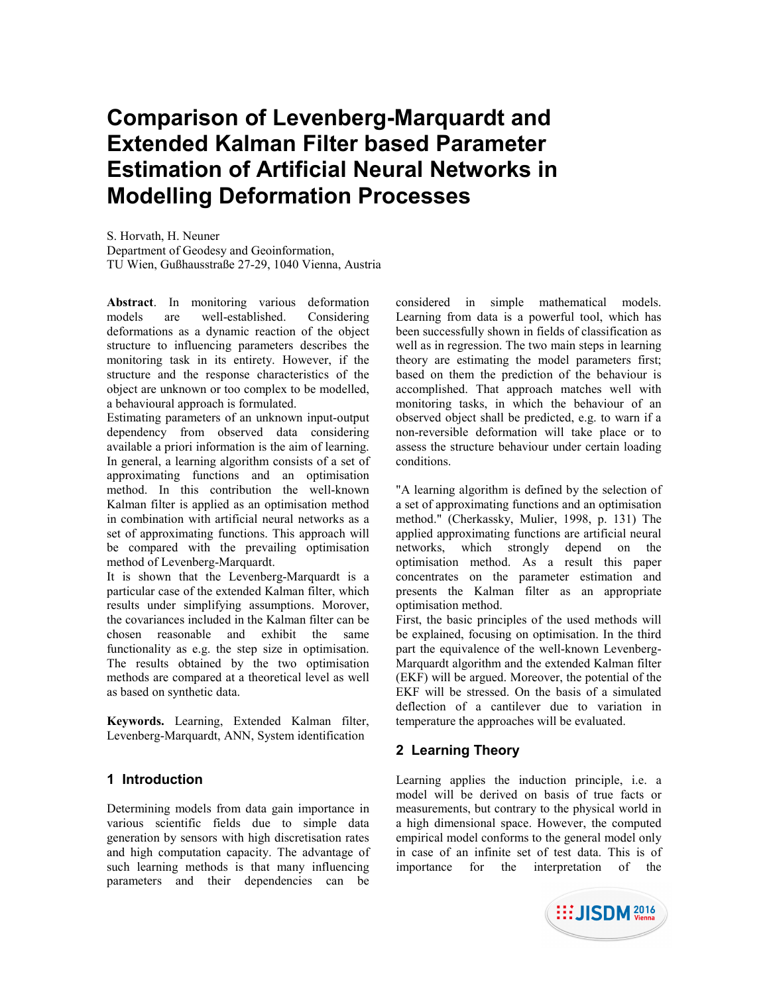# **Comparison of Levenberg-Marquardt and Extended Kalman Filter based Parameter Estimation of Artificial Neural Networks in Modelling Deformation Processes**

S. Horvath, H. Neuner Department of Geodesy and Geoinformation, TU Wien, Gußhausstraße 27-29, 1040 Vienna, Austria

Abstract. In monitoring various deformation<br>models are well-established. Considering models are well-established. Considering deformations as a dynamic reaction of the object structure to influencing parameters describes the monitoring task in its entirety. However, if the structure and the response characteristics of the object are unknown or too complex to be modelled, a behavioural approach is formulated.

Estimating parameters of an unknown input-output dependency from observed data considering available a priori information is the aim of learning. In general, a learning algorithm consists of a set of approximating functions and an optimisation method. In this contribution the well-known Kalman filter is applied as an optimisation method in combination with artificial neural networks as a set of approximating functions. This approach will be compared with the prevailing optimisation method of Levenberg-Marquardt.

It is shown that the Levenberg-Marquardt is a particular case of the extended Kalman filter, which results under simplifying assumptions. Morover, the covariances included in the Kalman filter can be chosen reasonable and exhibit the same functionality as e.g. the step size in optimisation. The results obtained by the two optimisation methods are compared at a theoretical level as well as based on synthetic data.

**Keywords.** Learning, Extended Kalman filter, Levenberg-Marquardt, ANN, System identification

## **1 Introduction**

Determining models from data gain importance in various scientific fields due to simple data generation by sensors with high discretisation rates and high computation capacity. The advantage of such learning methods is that many influencing parameters and their dependencies can be

considered in simple mathematical models. Learning from data is a powerful tool, which has been successfully shown in fields of classification as well as in regression. The two main steps in learning theory are estimating the model parameters first; based on them the prediction of the behaviour is accomplished. That approach matches well with monitoring tasks, in which the behaviour of an observed object shall be predicted, e.g. to warn if a non-reversible deformation will take place or to assess the structure behaviour under certain loading conditions.

"A learning algorithm is defined by the selection of a set of approximating functions and an optimisation method." (Cherkassky, Mulier, 1998, p. 131) The applied approximating functions are artificial neural networks, which strongly depend on the optimisation method. As a result this paper concentrates on the parameter estimation and presents the Kalman filter as an appropriate optimisation method.

First, the basic principles of the used methods will be explained, focusing on optimisation. In the third part the equivalence of the well-known Levenberg-Marquardt algorithm and the extended Kalman filter (EKF) will be argued. Moreover, the potential of the EKF will be stressed. On the basis of a simulated deflection of a cantilever due to variation in temperature the approaches will be evaluated.

# **2 Learning Theory**

Learning applies the induction principle, i.e. a model will be derived on basis of true facts or measurements, but contrary to the physical world in a high dimensional space. However, the computed empirical model conforms to the general model only in case of an infinite set of test data. This is of importance for the interpretation of the

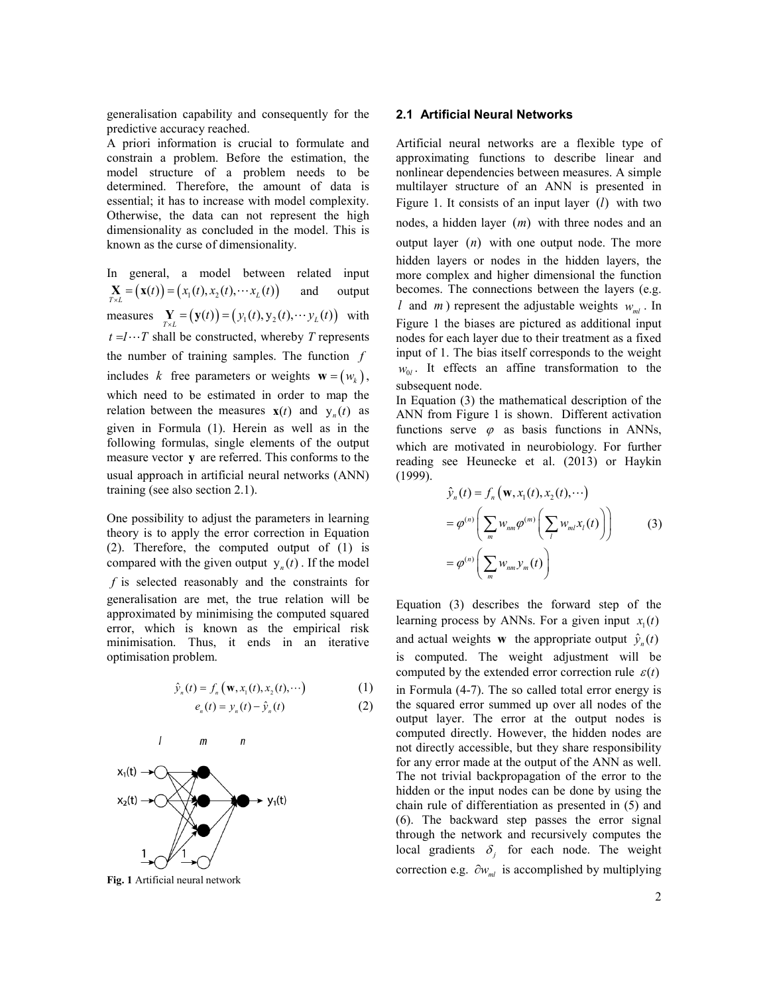generalisation capability and consequently for the predictive accuracy reached.

A priori information is crucial to formulate and constrain a problem. Before the estimation, the model structure of a problem needs to be determined. Therefore, the amount of data is essential; it has to increase with model complexity. Otherwise, the data can not represent the high dimensionality as concluded in the model. This is known as the curse of dimensionality.

In general, a model between related input  $\mathbf{X}_{T \times L} = (\mathbf{x}(t)) = (x_1(t), x_2(t), \dots, x_L(t))$  and output measures  $\sum_{T \times L}$  =  $({\bf y}(t))$  =  $(y_1(t), y_2(t), \cdots y_L(t))$  with  $t = I \cdots T$  shall be constructed, whereby *T* represents the number of training samples. The function *f* includes *k* free parameters or weights  $\mathbf{w} = (w_k)$ , which need to be estimated in order to map the relation between the measures  $\mathbf{x}(t)$  and  $\mathbf{y}_n(t)$  as given in Formula (1). Herein as well as in the following formulas, single elements of the output measure vector **y** are referred. This conforms to the usual approach in artificial neural networks (ANN) training (see also section 2.1).

One possibility to adjust the parameters in learning theory is to apply the error correction in Equation (2). Therefore, the computed output of (1) is compared with the given output  $y_n(t)$ . If the model *f* is selected reasonably and the constraints for generalisation are met, the true relation will be approximated by minimising the computed squared error, which is known as the empirical risk minimisation. Thus, it ends in an iterative optimisation problem.

$$
\hat{y}_n(t) = f_n\left(\mathbf{w}, x_1(t), x_2(t), \cdots\right)
$$
\n(1)

$$
e_n(t) = y_n(t) - \hat{y}_n(t) \tag{2}
$$



**Fig. 1** Artificial neural network

#### **2.1 Artificial Neural Networks**

Artificial neural networks are a flexible type of approximating functions to describe linear and nonlinear dependencies between measures. A simple multilayer structure of an ANN is presented in Figure 1. It consists of an input layer  $(l)$  with two nodes, a hidden layer  $(m)$  with three nodes and an output layer  $(n)$  with one output node. The more hidden layers or nodes in the hidden layers, the more complex and higher dimensional the function becomes. The connections between the layers (e.g. *l* and *m*) represent the adjustable weights  $w_{ml}$ . In Figure 1 the biases are pictured as additional input nodes for each layer due to their treatment as a fixed input of 1. The bias itself corresponds to the weight  $w_{0l}$ . It effects an affine transformation to the subsequent node.

In Equation (3) the mathematical description of the ANN from Figure 1 is shown. Different activation functions serve  $\varphi$  as basis functions in ANNs, which are motivated in neurobiology. For further reading see Heunecke et al. (2013) or Haykin (1999).

$$
\hat{y}_n(t) = f_n(\mathbf{w}, x_1(t), x_2(t), \cdots)
$$
\n
$$
= \varphi^{(n)} \left( \sum_m w_{nm} \varphi^{(m)} \left( \sum_l w_{ml} x_l(t) \right) \right)
$$
\n
$$
= \varphi^{(n)} \left( \sum_m w_{nm} y_m(t) \right)
$$
\n(3)

Equation (3) describes the forward step of the learning process by ANNs. For a given input  $x_1(t)$ and actual weights **w** the appropriate output  $\hat{v}_n(t)$ is computed. The weight adjustment will be computed by the extended error correction rule  $\varepsilon(t)$ in Formula (4-7). The so called total error energy is the squared error summed up over all nodes of the output layer. The error at the output nodes is computed directly. However, the hidden nodes are not directly accessible, but they share responsibility for any error made at the output of the ANN as well. The not trivial backpropagation of the error to the hidden or the input nodes can be done by using the chain rule of differentiation as presented in (5) and (6). The backward step passes the error signal through the network and recursively computes the local gradients  $\delta_i$  for each node. The weight correction e.g.  $\partial w_{ml}$  is accomplished by multiplying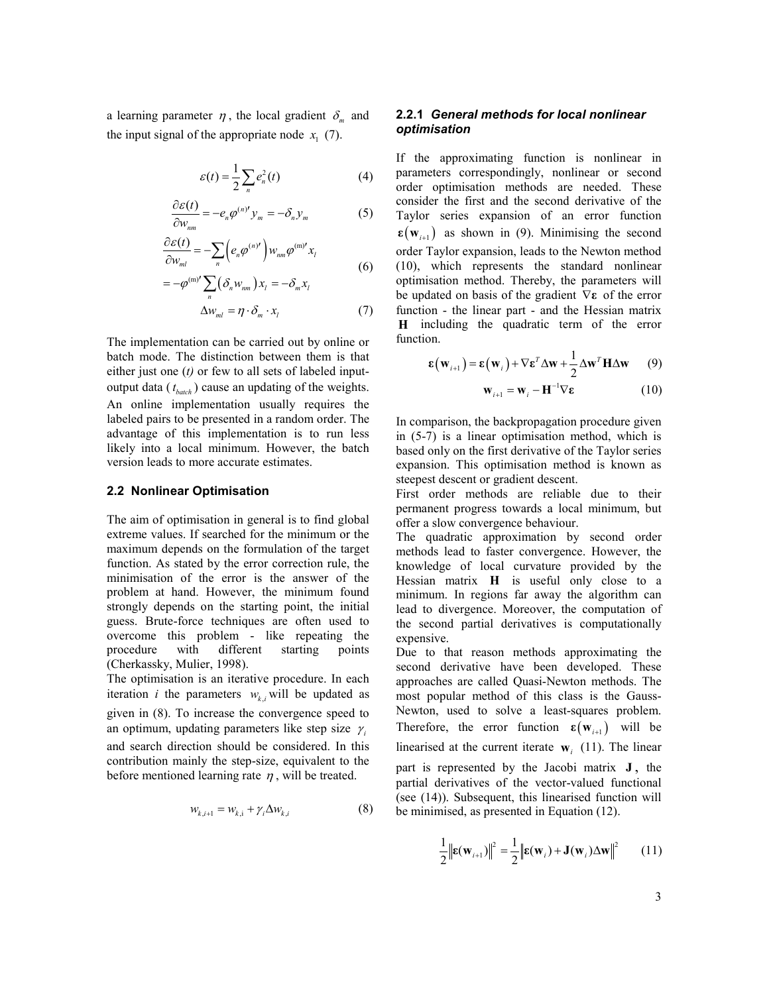a learning parameter  $\eta$ , the local gradient  $\delta_m$  and the input signal of the appropriate node  $x<sub>1</sub>$  (7).

$$
\varepsilon(t) = \frac{1}{2} \sum_{n} e_n^2(t) \tag{4}
$$

$$
\frac{\partial \varepsilon(t)}{\partial w_{nm}} = -e_n \varphi^{(n)'} y_m = -\delta_n y_m \tag{5}
$$

$$
\frac{\partial \varepsilon(t)}{\partial w_{ml}} = -\sum_{n} \left( e_n \varphi^{(n)'} \right) w_{nm} \varphi^{(m)'} x_l \tag{6}
$$

$$
= -\varphi^{(m)'} \sum_{n} (\delta_n w_{nm}) x_l = -\delta_m x_l
$$
  

$$
\Delta w_{ml} = \eta \cdot \delta_m \cdot x_l
$$
 (7)

The implementation can be carried out by online or batch mode. The distinction between them is that either just one (*t)* or few to all sets of labeled inputoutput data ( $t_{batch}$ ) cause an updating of the weights. An online implementation usually requires the labeled pairs to be presented in a random order. The advantage of this implementation is to run less likely into a local minimum. However, the batch version leads to more accurate estimates.

#### **2.2 Nonlinear Optimisation**

The aim of optimisation in general is to find global extreme values. If searched for the minimum or the maximum depends on the formulation of the target function. As stated by the error correction rule, the minimisation of the error is the answer of the problem at hand. However, the minimum found strongly depends on the starting point, the initial guess. Brute-force techniques are often used to overcome this problem - like repeating the procedure with different starting points (Cherkassky, Mulier, 1998).

The optimisation is an iterative procedure. In each iteration *i* the parameters  $w_{ki}$  will be updated as given in (8). To increase the convergence speed to an optimum, updating parameters like step size  $\gamma_i$ and search direction should be considered. In this contribution mainly the step-size, equivalent to the before mentioned learning rate  $\eta$ , will be treated.

$$
w_{k,i+1} = w_{k,i} + \gamma_i \Delta w_{k,i} \tag{8}
$$

## **2.2.1** *General methods for local nonlinear optimisation*

If the approximating function is nonlinear in parameters correspondingly, nonlinear or second order optimisation methods are needed. These consider the first and the second derivative of the Taylor series expansion of an error function  $\epsilon(\mathbf{w}_{i+1})$  as shown in (9). Minimising the second order Taylor expansion, leads to the Newton method (10), which represents the standard nonlinear optimisation method. Thereby, the parameters will be updated on basis of the gradient ∇**ε** of the error function - the linear part - and the Hessian matrix **H** including the quadratic term of the error function.

$$
\varepsilon(\mathbf{w}_{i+1}) = \varepsilon(\mathbf{w}_i) + \nabla \varepsilon^T \Delta \mathbf{w} + \frac{1}{2} \Delta \mathbf{w}^T \mathbf{H} \Delta \mathbf{w} \qquad (9)
$$

$$
\mathbf{w}_{i+1} = \mathbf{w}_i - \mathbf{H}^{-1} \nabla \varepsilon \tag{10}
$$

In comparison, the backpropagation procedure given in (5-7) is a linear optimisation method, which is based only on the first derivative of the Taylor series expansion. This optimisation method is known as steepest descent or gradient descent.

First order methods are reliable due to their permanent progress towards a local minimum, but offer a slow convergence behaviour.

The quadratic approximation by second order methods lead to faster convergence. However, the knowledge of local curvature provided by the Hessian matrix **H** is useful only close to a minimum. In regions far away the algorithm can lead to divergence. Moreover, the computation of the second partial derivatives is computationally expensive.

Due to that reason methods approximating the second derivative have been developed. These approaches are called Quasi-Newton methods. The most popular method of this class is the Gauss-Newton, used to solve a least-squares problem. Therefore, the error function  $\epsilon(\mathbf{w}_{i+1})$  will be linearised at the current iterate  $\mathbf{w}_i$  (11). The linear part is represented by the Jacobi matrix **J** , the partial derivatives of the vector-valued functional (see (14)). Subsequent, this linearised function will be minimised, as presented in Equation (12).

$$
\frac{1}{2} \|\mathbf{\varepsilon}(\mathbf{w}_{i+1})\|^2 = \frac{1}{2} \|\mathbf{\varepsilon}(\mathbf{w}_i) + \mathbf{J}(\mathbf{w}_i) \Delta \mathbf{w}\|^2 \qquad (11)
$$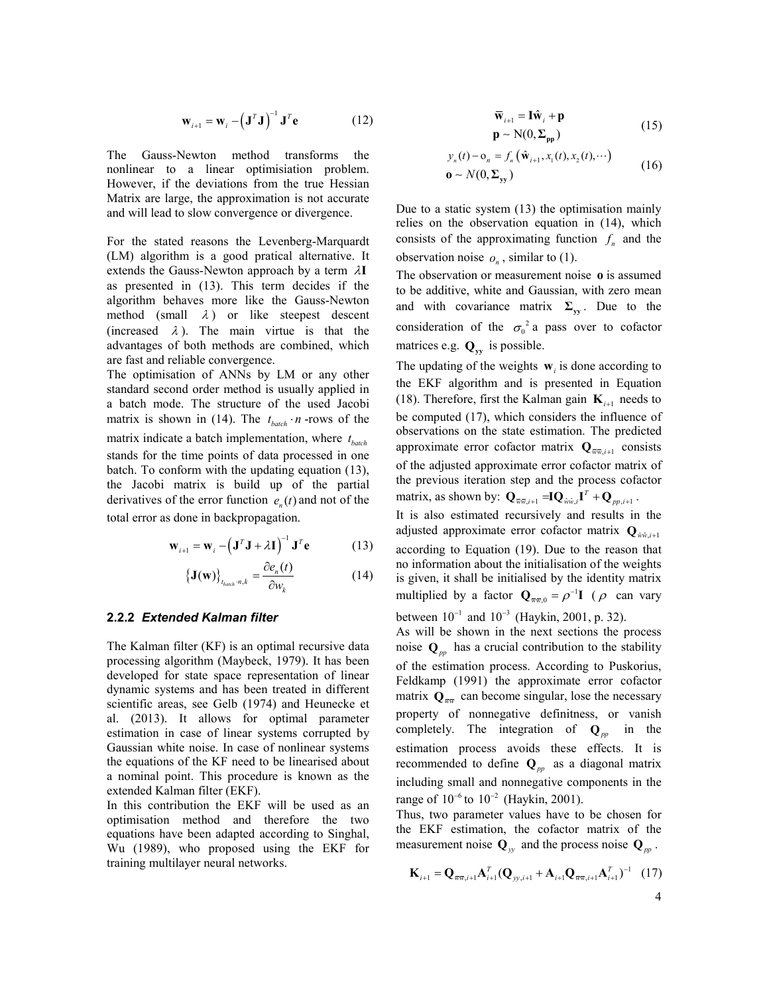$$
\mathbf{w}_{i+1} = \mathbf{w}_i - (\mathbf{J}^T \mathbf{J})^{-1} \mathbf{J}^T \mathbf{e}
$$
 (12)

The Gauss-Newton method transforms the nonlinear to a linear optimisiation problem. However, if the deviations from the true Hessian Matrix are large, the approximation is not accurate and will lead to slow convergence or divergence.

For the stated reasons the Levenberg-Marquardt (LM) algorithm is a good pratical alternative. It extends the Gauss-Newton approach by a term λ**I** as presented in (13). This term decides if the algorithm behaves more like the Gauss-Newton method (small  $\lambda$ ) or like steepest descent (increased  $\lambda$ ). The main virtue is that the advantages of both methods are combined, which are fast and reliable convergence.

The optimisation of ANNs by LM or any other standard second order method is usually applied in a batch mode. The structure of the used Jacobi matrix is shown in (14). The  $t_{batch} \cdot n$ -rows of the matrix indicate a batch implementation, where *batch t* stands for the time points of data processed in one batch. To conform with the updating equation (13), the Jacobi matrix is build up of the partial derivatives of the error function  $e_n(t)$  and not of the total error as done in backpropagation.

$$
\mathbf{w}_{i+1} = \mathbf{w}_i - (\mathbf{J}^T \mathbf{J} + \lambda \mathbf{I})^{-1} \mathbf{J}^T \mathbf{e}
$$
 (13)

$$
\left\{\mathbf{J}(\mathbf{w})\right\}_{t_{batch}, n, k} = \frac{\partial e_n(t)}{\partial w_k}
$$
 (14)

#### **2.2.2** *Extended Kalman filter*

The Kalman filter (KF) is an optimal recursive data processing algorithm (Maybeck, 1979). It has been developed for state space representation of linear dynamic systems and has been treated in different scientific areas, see Gelb (1974) and Heunecke et al. (2013). It allows for optimal parameter estimation in case of linear systems corrupted by Gaussian white noise. In case of nonlinear systems the equations of the KF need to be linearised about a nominal point. This procedure is known as the extended Kalman filter (EKF).

In this contribution the EKF will be used as an optimisation method and therefore the two equations have been adapted according to Singhal, Wu (1989), who proposed using the EKF for training multilayer neural networks.

$$
\overline{\mathbf{w}}_{i+1} = \mathbf{I}\hat{\mathbf{w}}_i + \mathbf{p}
$$
\n
$$
\mathbf{p} \sim \mathcal{N}(0, \Sigma_{\text{pp}})
$$
\n(15)

$$
y_n(t) - o_n = f_n\left(\hat{\mathbf{w}}_{i+1}, x_1(t), x_2(t), \cdots\right)
$$
  

$$
\mathbf{o} \sim N(\mathbf{0}, \Sigma_{\mathbf{y}\mathbf{y}})
$$
 (16)

Due to a static system (13) the optimisation mainly relies on the observation equation in (14), which consists of the approximating function  $f_n$  and the observation noise  $o_n$ , similar to (1).

The observation or measurement noise **o** is assumed to be additive, white and Gaussian, with zero mean and with covariance matrix  $\Sigma_{yy}$ . Due to the consideration of the  $\sigma_0^2$  a pass over to cofactor matrices e.g.  $\mathbf{Q}_{yy}$  is possible.

The updating of the weights  $\mathbf{w}_i$  is done according to the EKF algorithm and is presented in Equation (18). Therefore, first the Kalman gain  $\mathbf{K}_{i+1}$  needs to be computed (17), which considers the influence of observations on the state estimation. The predicted approximate error cofactor matrix  $\mathbf{Q}_{\overline{w}\overline{w}i+1}$  consists of the adjusted approximate error cofactor matrix of the previous iteration step and the process cofactor matrix, as shown by:  $\mathbf{Q}_{\overline{w}\overline{w}, i+1} = \mathbf{I} \mathbf{Q}_{\hat{w}\hat{w}, i} \mathbf{I}^T + \mathbf{Q}_{pp, i+1}$ . It is also estimated recursively and results in the adjusted approximate error cofactor matrix  $\mathbf{Q}_{\hat{w}\hat{w}i+1}$ according to Equation (19). Due to the reason that no information about the initialisation of the weights is given, it shall be initialised by the identity matrix multiplied by a factor  $\mathbf{Q}_{\overline{w}\overline{w},0} = \rho^{-1}\mathbf{I}$  (  $\rho$  can vary

between 
$$
10^{-1}
$$
 and  $10^{-3}$  (Haykin, 2001, p. 32).

As will be shown in the next sections the process noise  $\mathbf{Q}_{pp}$  has a crucial contribution to the stability of the estimation process. According to Puskorius, Feldkamp (1991) the approximate error cofactor matrix  $\mathbf{Q}_{\overline{w}\overline{w}}$  can become singular, lose the necessary property of nonnegative definitness, or vanish completely. The integration of  $\mathbf{Q}_{pp}$  in the estimation process avoids these effects. It is recommended to define **Q***pp* as a diagonal matrix including small and nonnegative components in the range of  $10^{-6}$  to  $10^{-2}$  (Haykin, 2001).

Thus, two parameter values have to be chosen for the EKF estimation, the cofactor matrix of the measurement noise  $\mathbf{Q}_w$  and the process noise  $\mathbf{Q}_{pv}$ .

$$
\mathbf{K}_{i+1} = \mathbf{Q}_{\overline{\mathbf{w}}\overline{\mathbf{w}}, i+1} \mathbf{A}_{i+1}^T (\mathbf{Q}_{\mathbf{y}, i+1} + \mathbf{A}_{i+1} \mathbf{Q}_{\overline{\mathbf{w}}\overline{\mathbf{w}}, i+1} \mathbf{A}_{i+1}^T)^{-1} (17)
$$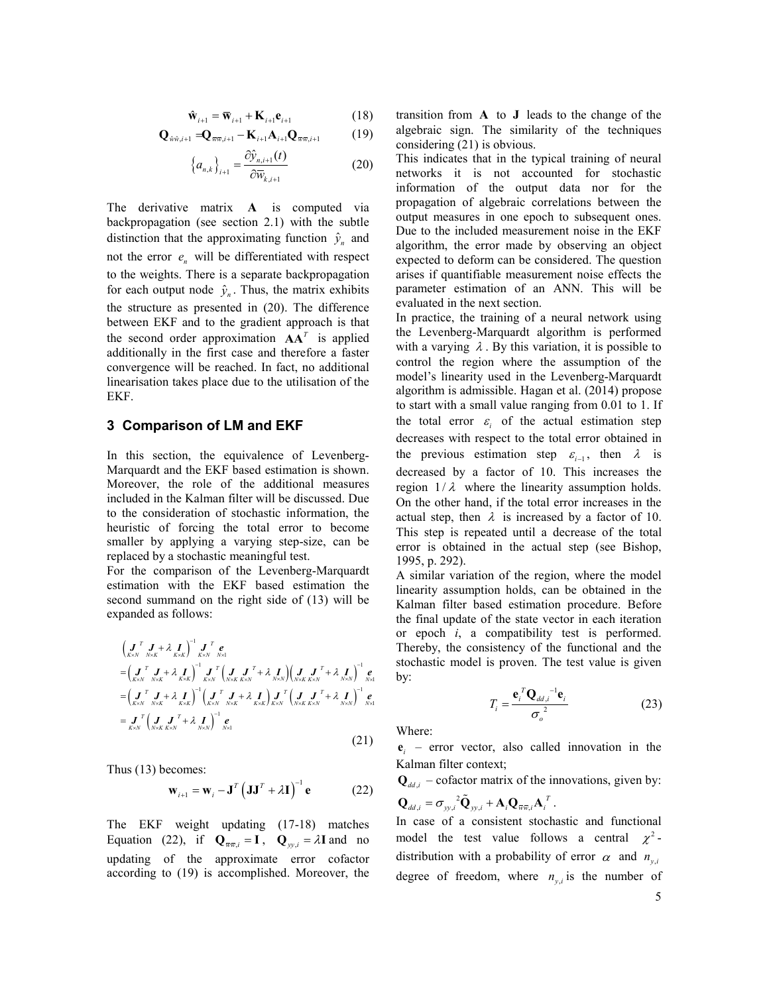$$
\hat{\mathbf{w}}_{i+1} = \overline{\mathbf{w}}_{i+1} + \mathbf{K}_{i+1} \mathbf{e}_{i+1}
$$
 (18)

$$
\mathbf{Q}_{\hat{\mathbf{w}}\hat{\mathbf{w}},i+1} = \mathbf{Q}_{\overline{\mathbf{w}}\overline{\mathbf{w}},i+1} - \mathbf{K}_{i+1}\mathbf{A}_{i+1}\mathbf{Q}_{\overline{\mathbf{w}}\overline{\mathbf{w}},i+1}
$$
(19)

$$
\left\{a_{n,k}\right\}_{i+1} = \frac{\partial \hat{y}_{n,i+1}(t)}{\partial \overline{w}_{k,i+1}}
$$
\n(20)

The derivative matrix **A** is computed via backpropagation (see section 2.1) with the subtle distinction that the approximating function  $\hat{y}_n$  and not the error  $e_n$  will be differentiated with respect to the weights. There is a separate backpropagation for each output node  $\hat{y}_n$ . Thus, the matrix exhibits the structure as presented in (20). The difference between EKF and to the gradient approach is that the second order approximation  $AA<sup>T</sup>$  is applied additionally in the first case and therefore a faster convergence will be reached. In fact, no additional linearisation takes place due to the utilisation of the EKF.

#### **3 Comparison of LM and EKF**

In this section, the equivalence of Levenberg-Marquardt and the EKF based estimation is shown. Moreover, the role of the additional measures included in the Kalman filter will be discussed. Due to the consideration of stochastic information, the heuristic of forcing the total error to become smaller by applying a varying step-size, can be replaced by a stochastic meaningful test.

For the comparison of the Levenberg-Marquardt estimation with the EKF based estimation the second summand on the right side of (13) will be expanded as follows:

$$
\left(\int_{K\times N}^{T} \mathbf{J} + \lambda \mathbf{I}_{K\times K} \right)^{-1} \mathbf{J}^{T} \mathbf{e}
$$
\n
$$
= \left(\mathbf{J}_{K\times N}^{T} \mathbf{J} + \lambda \mathbf{I}_{K\times K}\right)^{-1} \mathbf{J}_{K\times N}^{T} \mathbf{I}_{N\times M} \mathbf{J}
$$
\n
$$
= \left(\mathbf{J}_{K\times N}^{T} \mathbf{J} + \lambda \mathbf{I}_{K\times K}\right)^{-1} \mathbf{J}_{K\times N}^{T} \left(\mathbf{J}_{N\times K} \mathbf{J}^{T} + \lambda \mathbf{I}_{N\times N}\right) \left(\mathbf{J}_{N\times K} \mathbf{J}^{T} + \lambda \mathbf{I}_{N\times N}\right)^{-1} \mathbf{e}
$$
\n
$$
= \left(\mathbf{J}_{K\times N}^{T} \mathbf{J} + \lambda \mathbf{I}_{K\times K}\right)^{-1} \left(\mathbf{J}_{K\times N}^{T} \mathbf{J} + \lambda \mathbf{I}_{K\times K}\right) \mathbf{J}_{K\times N}^{T} \left(\mathbf{J}_{N\times K} \mathbf{J}^{T} + \lambda \mathbf{I}_{N\times N}\right)^{-1} \mathbf{e}
$$
\n
$$
= \mathbf{J}_{K\times N}^{T} \left(\mathbf{J}_{N\times K} \mathbf{J}_{K\times N}^{T} + \lambda \mathbf{I}_{N\times N}\right)^{-1} \mathbf{e}
$$
\n
$$
\left(21\right)
$$

Thus (13) becomes:

$$
\mathbf{w}_{i+1} = \mathbf{w}_i - \mathbf{J}^T \left( \mathbf{J} \mathbf{J}^T + \lambda \mathbf{I} \right)^{-1} \mathbf{e}
$$
 (22)

The EKF weight updating (17-18) matches Equation (22), if  $\mathbf{Q}_{\overline{w}\overline{w}, i} = \mathbf{I}$ ,  $\mathbf{Q}_{\overline{y}, i} = \lambda \mathbf{I}$  and no updating of the approximate error cofactor according to (19) is accomplished. Moreover, the

transition from **A** to **J** leads to the change of the algebraic sign. The similarity of the techniques considering (21) is obvious.

This indicates that in the typical training of neural networks it is not accounted for stochastic information of the output data nor for the propagation of algebraic correlations between the output measures in one epoch to subsequent ones. Due to the included measurement noise in the EKF algorithm, the error made by observing an object expected to deform can be considered. The question arises if quantifiable measurement noise effects the parameter estimation of an ANN. This will be evaluated in the next section.

In practice, the training of a neural network using the Levenberg-Marquardt algorithm is performed with a varying  $\lambda$ . By this variation, it is possible to control the region where the assumption of the model's linearity used in the Levenberg-Marquardt algorithm is admissible. Hagan et al. (2014) propose to start with a small value ranging from 0.01 to 1. If the total error  $\varepsilon$  of the actual estimation step decreases with respect to the total error obtained in the previous estimation step  $\varepsilon_{i-1}$ , then  $\lambda$  is decreased by a factor of 10. This increases the region  $1/\lambda$  where the linearity assumption holds. On the other hand, if the total error increases in the actual step, then  $\lambda$  is increased by a factor of 10. This step is repeated until a decrease of the total error is obtained in the actual step (see Bishop, 1995, p. 292).

A similar variation of the region, where the model linearity assumption holds, can be obtained in the Kalman filter based estimation procedure. Before the final update of the state vector in each iteration or epoch *i*, a compatibility test is performed. Thereby, the consistency of the functional and the stochastic model is proven. The test value is given by:

$$
T_i = \frac{\mathbf{e}_i^T \mathbf{Q}_{dd,i}^{-1} \mathbf{e}_i}{\sigma_o^2}
$$
 (23)

Where:

 $\mathbf{e}_i$  – error vector, also called innovation in the Kalman filter context;

 $\mathbf{Q}_{dd,i}$  – cofactor matrix of the innovations, given by:  $\mathbf{Q}_{dd,i} = \sigma_{yy,i}^{-2} \tilde{\mathbf{Q}}_{yy,i} + \mathbf{A}_i \mathbf{Q}_{\overline{ww},i} \mathbf{A}_i^T.$ 

In case of a consistent stochastic and functional model the test value follows a central  $\chi^2$ distribution with a probability of error  $\alpha$  and  $n_{v,i}$ degree of freedom, where  $n_{v,i}$  is the number of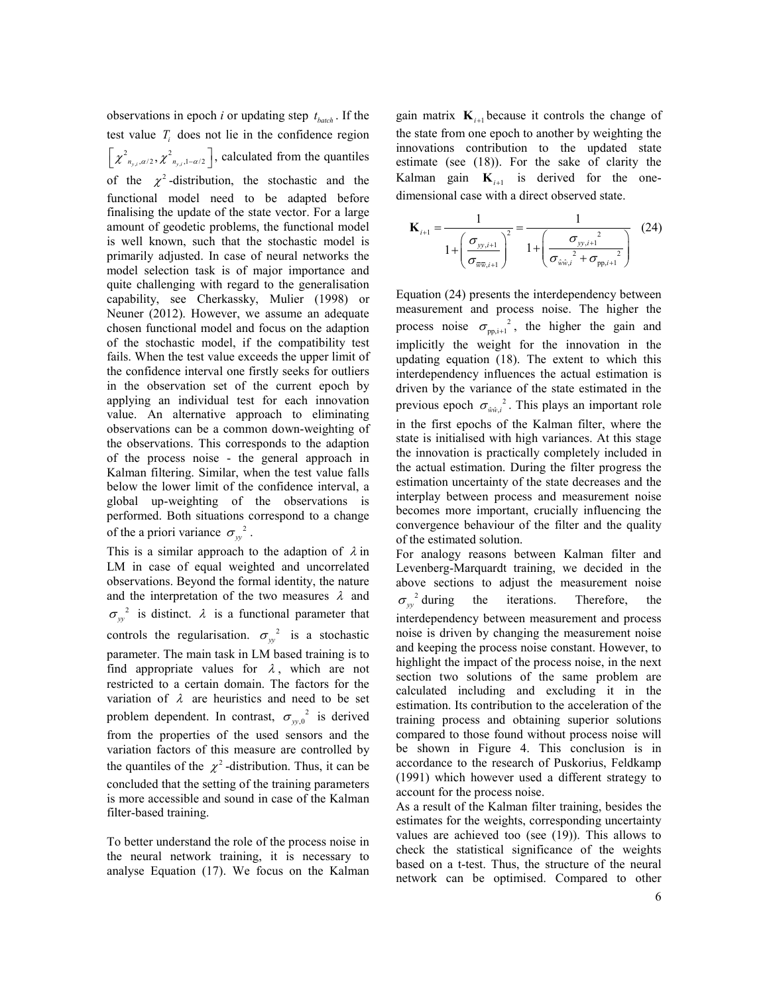observations in epoch *i* or updating step  $t_{batch}$ . If the test value  $T<sub>i</sub>$  does not lie in the confidence region  $_{,i}$ ,  $\mu$  /  $\mu$   $\sim$   $n_{y}$  $\left[\chi^2_{n_{y,i},\alpha/2},\chi^2_{n_{y,i},1-\alpha/2}\right]$ , calculated from the quantiles of the  $\chi^2$ -distribution, the stochastic and the functional model need to be adapted before finalising the update of the state vector. For a large amount of geodetic problems, the functional model is well known, such that the stochastic model is primarily adjusted. In case of neural networks the model selection task is of major importance and quite challenging with regard to the generalisation capability, see Cherkassky, Mulier (1998) or Neuner (2012). However, we assume an adequate chosen functional model and focus on the adaption of the stochastic model, if the compatibility test fails. When the test value exceeds the upper limit of the confidence interval one firstly seeks for outliers in the observation set of the current epoch by applying an individual test for each innovation value. An alternative approach to eliminating observations can be a common down-weighting of the observations. This corresponds to the adaption of the process noise - the general approach in Kalman filtering. Similar, when the test value falls below the lower limit of the confidence interval, a global up-weighting of the observations is performed. Both situations correspond to a change of the a priori variance  $\sigma_{yy}^2$ .

This is a similar approach to the adaption of  $\lambda$  in LM in case of equal weighted and uncorrelated observations. Beyond the formal identity, the nature and the interpretation of the two measures  $\lambda$  and  $\sigma_w^2$  is distinct.  $\lambda$  is a functional parameter that controls the regularisation.  $\sigma_{yy}^2$  is a stochastic parameter. The main task in LM based training is to find appropriate values for  $\lambda$ , which are not restricted to a certain domain. The factors for the variation of  $\lambda$  are heuristics and need to be set problem dependent. In contrast,  $\sigma_{y_y,0}^2$  is derived from the properties of the used sensors and the variation factors of this measure are controlled by the quantiles of the  $\chi^2$ -distribution. Thus, it can be concluded that the setting of the training parameters is more accessible and sound in case of the Kalman filter-based training.

To better understand the role of the process noise in the neural network training, it is necessary to analyse Equation (17). We focus on the Kalman

gain matrix  $\mathbf{K}_{i+1}$  because it controls the change of the state from one epoch to another by weighting the innovations contribution to the updated state estimate (see (18)). For the sake of clarity the Kalman gain  $\mathbf{K}_{i+1}$  is derived for the onedimensional case with a direct observed state.

$$
\mathbf{K}_{i+1} = \frac{1}{1 + \left(\frac{\sigma_{y y, i+1}}{\sigma_{\overline{w} \overline{w}, i+1}}\right)^2} = \frac{1}{1 + \left(\frac{\sigma_{y y, i+1}}{\sigma_{\hat{w} \hat{w}, i}^2 + \sigma_{\text{pp}, i+1}}\right)} \quad (24)
$$

Equation (24) presents the interdependency between measurement and process noise. The higher the process noise  $\sigma_{\text{pp,i+1}}^2$ , the higher the gain and implicitly the weight for the innovation in the updating equation (18). The extent to which this interdependency influences the actual estimation is driven by the variance of the state estimated in the previous epoch  $\sigma_{\hat{w}\hat{w}}^2$ . This plays an important role in the first epochs of the Kalman filter, where the state is initialised with high variances. At this stage the innovation is practically completely included in the actual estimation. During the filter progress the estimation uncertainty of the state decreases and the interplay between process and measurement noise becomes more important, crucially influencing the convergence behaviour of the filter and the quality of the estimated solution.

For analogy reasons between Kalman filter and Levenberg-Marquardt training, we decided in the above sections to adjust the measurement noise  $\sigma_w^2$  during the iterations. Therefore, the interdependency between measurement and process noise is driven by changing the measurement noise and keeping the process noise constant. However, to highlight the impact of the process noise, in the next section two solutions of the same problem are calculated including and excluding it in the estimation. Its contribution to the acceleration of the training process and obtaining superior solutions compared to those found without process noise will be shown in Figure 4. This conclusion is in accordance to the research of Puskorius, Feldkamp (1991) which however used a different strategy to account for the process noise.

As a result of the Kalman filter training, besides the estimates for the weights, corresponding uncertainty values are achieved too (see (19)). This allows to check the statistical significance of the weights based on a t-test. Thus, the structure of the neural network can be optimised. Compared to other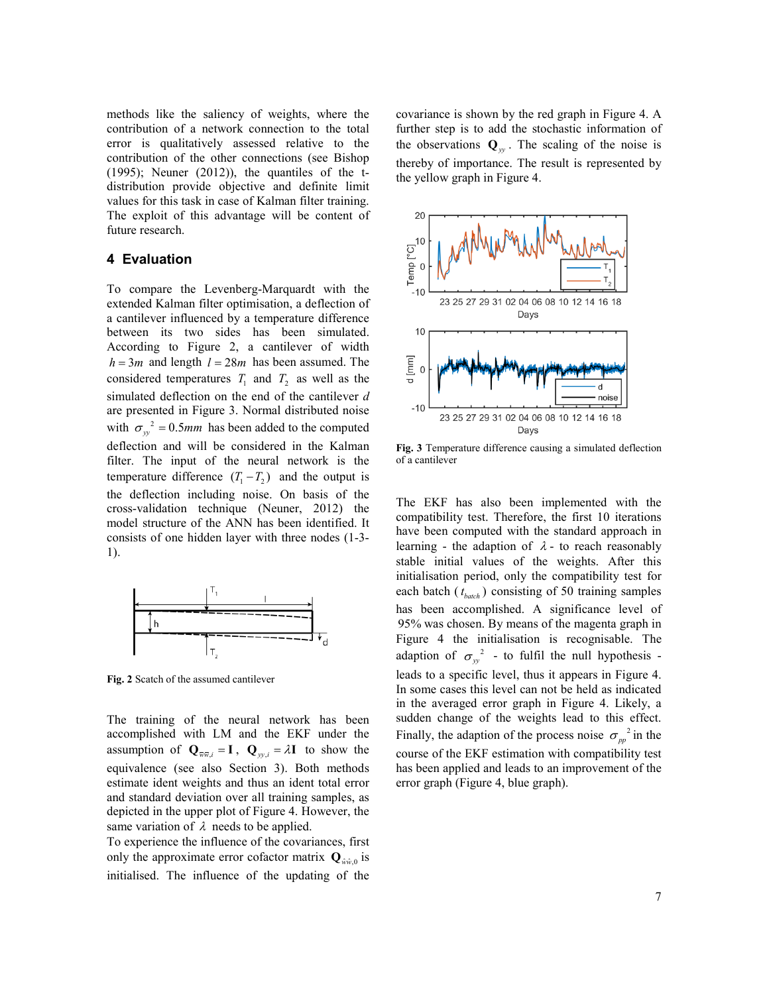methods like the saliency of weights, where the contribution of a network connection to the total error is qualitatively assessed relative to the contribution of the other connections (see Bishop (1995); Neuner (2012)), the quantiles of the tdistribution provide objective and definite limit values for this task in case of Kalman filter training. The exploit of this advantage will be content of future research.

#### **4 Evaluation**

To compare the Levenberg-Marquardt with the extended Kalman filter optimisation, a deflection of a cantilever influenced by a temperature difference between its two sides has been simulated. According to Figure 2, a cantilever of width  $h = 3m$  and length  $l = 28m$  has been assumed. The considered temperatures  $T_1$  and  $T_2$  as well as the simulated deflection on the end of the cantilever *d* are presented in Figure 3. Normal distributed noise with  $\sigma_w^2 = 0.5$  *mm* has been added to the computed deflection and will be considered in the Kalman filter. The input of the neural network is the temperature difference  $(T_1 - T_2)$  and the output is the deflection including noise. On basis of the cross-validation technique (Neuner, 2012) the model structure of the ANN has been identified. It consists of one hidden layer with three nodes (1-3- 1).



**Fig. 2** Scatch of the assumed cantilever

The training of the neural network has been accomplished with LM and the EKF under the assumption of  $\mathbf{Q}_{\overline{w}\overline{w}, i} = \mathbf{I}$ ,  $\mathbf{Q}_{\overline{y}\overline{y}, i} = \lambda \mathbf{I}$  to show the equivalence (see also Section 3). Both methods estimate ident weights and thus an ident total error and standard deviation over all training samples, as depicted in the upper plot of Figure 4. However, the same variation of  $\lambda$  needs to be applied.

To experience the influence of the covariances, first only the approximate error cofactor matrix  $\mathbf{Q}_{\hat{w}\hat{w}}$  o is initialised. The influence of the updating of the covariance is shown by the red graph in Figure 4. A further step is to add the stochastic information of the observations  $\mathbf{Q}_{y}$ . The scaling of the noise is thereby of importance. The result is represented by the yellow graph in Figure 4.



**Fig. 3** Temperature difference causing a simulated deflection of a cantilever

The EKF has also been implemented with the compatibility test. Therefore, the first 10 iterations have been computed with the standard approach in learning - the adaption of  $\lambda$  - to reach reasonably stable initial values of the weights. After this initialisation period, only the compatibility test for each batch  $(t<sub>batch</sub>)$  consisting of 50 training samples has been accomplished. A significance level of 95% was chosen. By means of the magenta graph in Figure 4 the initialisation is recognisable. The adaption of  $\sigma_{y}^{2}$  - to fulfil the null hypothesis leads to a specific level, thus it appears in Figure 4. In some cases this level can not be held as indicated in the averaged error graph in Figure 4. Likely, a sudden change of the weights lead to this effect. Finally, the adaption of the process noise  $\sigma_{pp}^2$  in the course of the EKF estimation with compatibility test has been applied and leads to an improvement of the error graph (Figure 4, blue graph).